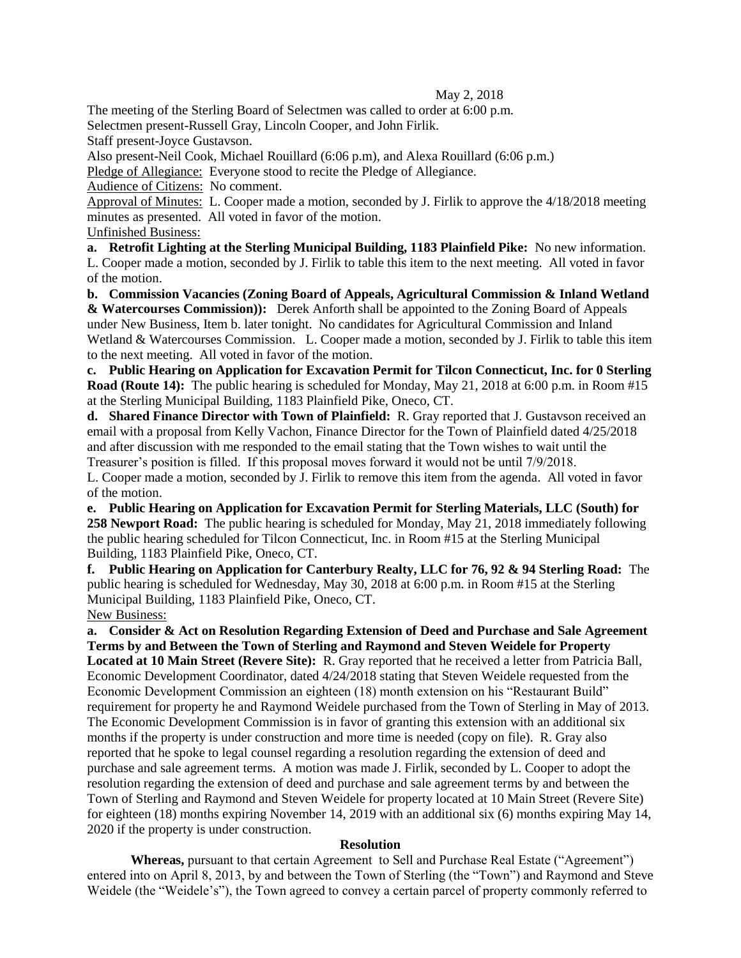## May 2, 2018

The meeting of the Sterling Board of Selectmen was called to order at 6:00 p.m.

Selectmen present-Russell Gray, Lincoln Cooper, and John Firlik.

Staff present-Joyce Gustavson.

Also present-Neil Cook, Michael Rouillard (6:06 p.m), and Alexa Rouillard (6:06 p.m.)

Pledge of Allegiance: Everyone stood to recite the Pledge of Allegiance.

Audience of Citizens: No comment.

Approval of Minutes: L. Cooper made a motion, seconded by J. Firlik to approve the 4/18/2018 meeting minutes as presented. All voted in favor of the motion.

Unfinished Business:

**a. Retrofit Lighting at the Sterling Municipal Building, 1183 Plainfield Pike:** No new information. L. Cooper made a motion, seconded by J. Firlik to table this item to the next meeting. All voted in favor of the motion.

**b. Commission Vacancies (Zoning Board of Appeals, Agricultural Commission & Inland Wetland & Watercourses Commission)):** Derek Anforth shall be appointed to the Zoning Board of Appeals under New Business, Item b. later tonight. No candidates for Agricultural Commission and Inland Wetland & Watercourses Commission. L. Cooper made a motion, seconded by J. Firlik to table this item to the next meeting. All voted in favor of the motion.

**c. Public Hearing on Application for Excavation Permit for Tilcon Connecticut, Inc. for 0 Sterling Road (Route 14):** The public hearing is scheduled for Monday, May 21, 2018 at 6:00 p.m. in Room #15 at the Sterling Municipal Building, 1183 Plainfield Pike, Oneco, CT.

**d. Shared Finance Director with Town of Plainfield:** R. Gray reported that J. Gustavson received an email with a proposal from Kelly Vachon, Finance Director for the Town of Plainfield dated 4/25/2018 and after discussion with me responded to the email stating that the Town wishes to wait until the Treasurer's position is filled. If this proposal moves forward it would not be until 7/9/2018.

L. Cooper made a motion, seconded by J. Firlik to remove this item from the agenda. All voted in favor of the motion.

**e. Public Hearing on Application for Excavation Permit for Sterling Materials, LLC (South) for 258 Newport Road:** The public hearing is scheduled for Monday, May 21, 2018 immediately following the public hearing scheduled for Tilcon Connecticut, Inc. in Room #15 at the Sterling Municipal Building, 1183 Plainfield Pike, Oneco, CT.

**f. Public Hearing on Application for Canterbury Realty, LLC for 76, 92 & 94 Sterling Road:** The public hearing is scheduled for Wednesday, May 30, 2018 at 6:00 p.m. in Room #15 at the Sterling Municipal Building, 1183 Plainfield Pike, Oneco, CT.

New Business:

**a. Consider & Act on Resolution Regarding Extension of Deed and Purchase and Sale Agreement Terms by and Between the Town of Sterling and Raymond and Steven Weidele for Property Located at 10 Main Street (Revere Site):** R. Gray reported that he received a letter from Patricia Ball, Economic Development Coordinator, dated 4/24/2018 stating that Steven Weidele requested from the Economic Development Commission an eighteen (18) month extension on his "Restaurant Build" requirement for property he and Raymond Weidele purchased from the Town of Sterling in May of 2013. The Economic Development Commission is in favor of granting this extension with an additional six months if the property is under construction and more time is needed (copy on file). R. Gray also reported that he spoke to legal counsel regarding a resolution regarding the extension of deed and purchase and sale agreement terms. A motion was made J. Firlik, seconded by L. Cooper to adopt the resolution regarding the extension of deed and purchase and sale agreement terms by and between the Town of Sterling and Raymond and Steven Weidele for property located at 10 Main Street (Revere Site) for eighteen (18) months expiring November 14, 2019 with an additional six (6) months expiring May 14, 2020 if the property is under construction.

## **Resolution**

**Whereas,** pursuant to that certain Agreement to Sell and Purchase Real Estate ("Agreement") entered into on April 8, 2013, by and between the Town of Sterling (the "Town") and Raymond and Steve Weidele (the "Weidele's"), the Town agreed to convey a certain parcel of property commonly referred to